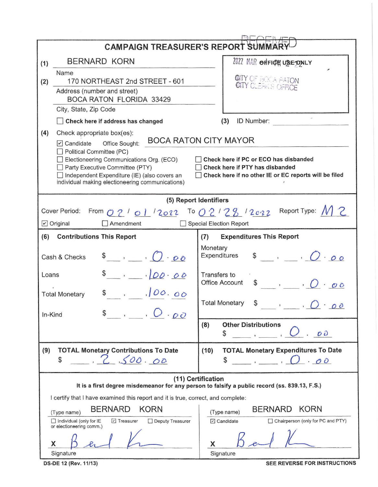| <b>CAMPAIGN TREASURER'S REPORT SUI</b>                                                                                                                    |                                                                                                                 |  |  |  |  |  |  |
|-----------------------------------------------------------------------------------------------------------------------------------------------------------|-----------------------------------------------------------------------------------------------------------------|--|--|--|--|--|--|
| <b>BERNARD KORN</b><br>(1)                                                                                                                                | 2022 MAR OFFICE USE ONLY                                                                                        |  |  |  |  |  |  |
| Name                                                                                                                                                      |                                                                                                                 |  |  |  |  |  |  |
| 170 NORTHEAST 2nd STREET - 601<br>(2)<br>Address (number and street)                                                                                      | <b>GITY</b> OF BOCA PATON                                                                                       |  |  |  |  |  |  |
| <b>BOCA RATON FLORIDA 33429</b>                                                                                                                           |                                                                                                                 |  |  |  |  |  |  |
| City, State, Zip Code                                                                                                                                     |                                                                                                                 |  |  |  |  |  |  |
| Check here if address has changed                                                                                                                         | ID Number:<br>(3)                                                                                               |  |  |  |  |  |  |
| (4)<br>Check appropriate box(es):                                                                                                                         |                                                                                                                 |  |  |  |  |  |  |
| Office Sought:<br>$\triangleright$ Candidate                                                                                                              | <b>BOCA RATON CITY MAYOR</b>                                                                                    |  |  |  |  |  |  |
| Political Committee (PC)<br>Electioneering Communications Org. (ECO)                                                                                      | Check here if PC or ECO has disbanded                                                                           |  |  |  |  |  |  |
| Party Executive Committee (PTY)                                                                                                                           | Check here if PTY has disbanded                                                                                 |  |  |  |  |  |  |
| Check here if no other IE or EC reports will be filed<br>Independent Expenditure (IE) (also covers an<br>individual making electioneering communications) |                                                                                                                 |  |  |  |  |  |  |
|                                                                                                                                                           |                                                                                                                 |  |  |  |  |  |  |
|                                                                                                                                                           | (5) Report Identifiers                                                                                          |  |  |  |  |  |  |
| Cover Period:<br>From $O2'$ $O1'2022$                                                                                                                     | Report Type: $\sqrt{2}$<br>To $02'28'2022$                                                                      |  |  |  |  |  |  |
| $\triangleright$ Original<br>Amendment<br>Special Election Report                                                                                         |                                                                                                                 |  |  |  |  |  |  |
| (6)<br><b>Contributions This Report</b>                                                                                                                   | <b>Expenditures This Report</b><br>(7)                                                                          |  |  |  |  |  |  |
| $\bullet$ , $O \cdot \mathfrak{o}$<br>Cash & Checks                                                                                                       | Monetary<br>$\bullet$ , $O \cdot \rho \circ$<br>Expenditures                                                    |  |  |  |  |  |  |
| $\frac{1}{100.00}$<br>Loans                                                                                                                               | Transfers to<br><b>Office Account</b><br>$\bullet$ , , , $O \cdot \mathcal{O} \circ$                            |  |  |  |  |  |  |
| $\int 00.00$<br><b>Total Monetary</b>                                                                                                                     | <b>Total Monetary</b><br>\$<br>$O \cdot$ 00<br>$\overline{3}$                                                   |  |  |  |  |  |  |
| $\overline{O}$ $\overline{O}$ $\overline{O}$<br>In-Kind                                                                                                   |                                                                                                                 |  |  |  |  |  |  |
|                                                                                                                                                           | <b>Other Distributions</b><br>(8)                                                                               |  |  |  |  |  |  |
|                                                                                                                                                           | \$<br>$0\,\partial$                                                                                             |  |  |  |  |  |  |
| (9)<br><b>TOTAL Monetary Contributions To Date</b>                                                                                                        | (10)<br><b>TOTAL Monetary Expenditures To Date</b>                                                              |  |  |  |  |  |  |
| 500.00<br>\$                                                                                                                                              | \$<br>$\cdot$ 00                                                                                                |  |  |  |  |  |  |
| (11) Certification                                                                                                                                        |                                                                                                                 |  |  |  |  |  |  |
| It is a first degree misdemeanor for any person to falsify a public record (ss. 839.13, F.S.)                                                             |                                                                                                                 |  |  |  |  |  |  |
| I certify that I have examined this report and it is true, correct, and complete:                                                                         |                                                                                                                 |  |  |  |  |  |  |
| <b>BERNARD</b><br><b>KORN</b><br>(Type name)<br>Treasurer<br>$\Box$ Individual (only for IE<br>Deputy Treasurer                                           | <b>KORN</b><br><b>BERNARD</b><br>(Type name)<br>$\boxed{\sim}$ Candidate<br>□ Chairperson (only for PC and PTY) |  |  |  |  |  |  |
| or electioneering comm.)                                                                                                                                  |                                                                                                                 |  |  |  |  |  |  |
|                                                                                                                                                           |                                                                                                                 |  |  |  |  |  |  |
| Signature                                                                                                                                                 | Signature                                                                                                       |  |  |  |  |  |  |

**DS-DE 12 (Rev. 11/13)** 

SEE REVERSE FOR INSTRUCTIONS